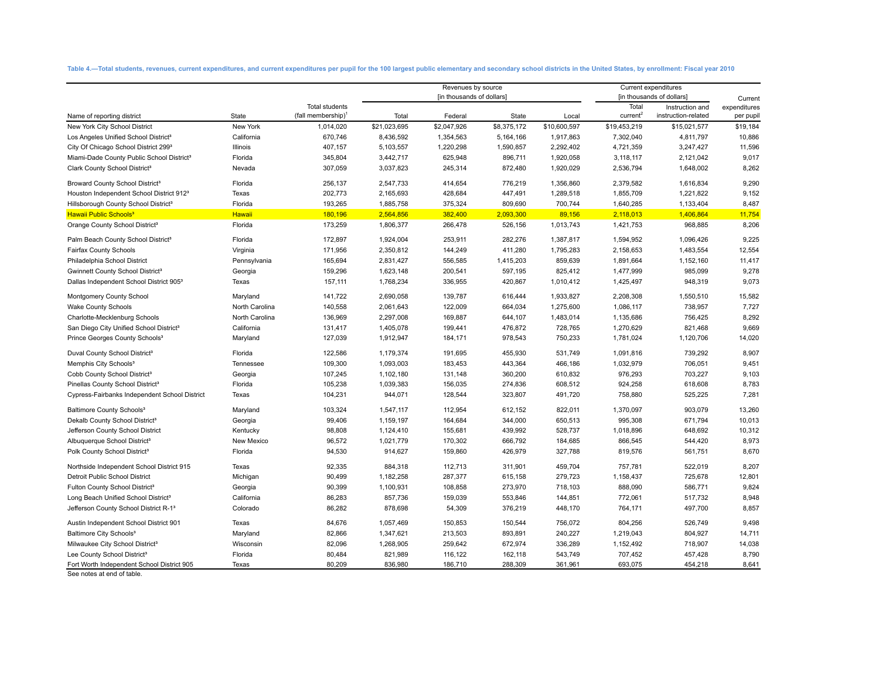**Table 4.—Total students, revenues, current expenditures, and current expenditures per pupil for the 100 largest public elementary and secondary school districts in the United States, by enrollment: Fiscal year 2010**

|                                                       |                |                                |                           | Revenues by source |              | Current expenditures |                           |                     |              |
|-------------------------------------------------------|----------------|--------------------------------|---------------------------|--------------------|--------------|----------------------|---------------------------|---------------------|--------------|
|                                                       |                |                                | [in thousands of dollars] |                    |              |                      | [in thousands of dollars] |                     | Current      |
|                                                       |                | Total students                 |                           |                    |              |                      | Total                     | Instruction and     | expenditures |
| Name of reporting district                            | State          | (fall membership) <sup>1</sup> | Total                     | Federal            | <b>State</b> | Local                | current <sup>2</sup>      | instruction-related | per pupil    |
| New York City School District                         | New York       | 1,014,020                      | \$21,023,695              | \$2,047,926        | \$8,375,172  | \$10,600,597         | \$19,453,219              | \$15,021,577        | \$19,184     |
| Los Angeles Unified School District <sup>3</sup>      | California     | 670.746                        | 8,436,592                 | 1,354,563          | 5,164,166    | 1,917,863            | 7,302,040                 | 4,811,797           | 10,886       |
| City Of Chicago School District 299 <sup>3</sup>      | Illinois       | 407,157                        | 5,103,557                 | 1,220,298          | 1,590,857    | 2,292,402            | 4,721,359                 | 3,247,427           | 11,596       |
| Miami-Dade County Public School District <sup>3</sup> | Florida        | 345,804                        | 3,442,717                 | 625,948            | 896,711      | 1,920,058            | 3,118,117                 | 2,121,042           | 9,017        |
| Clark County School District <sup>3</sup>             | Nevada         | 307,059                        | 3,037,823                 | 245,314            | 872,480      | 1,920,029            | 2,536,794                 | 1,648,002           | 8,262        |
| Broward County School District <sup>3</sup>           | Florida        | 256,137                        | 2,547,733                 | 414,654            | 776,219      | 1,356,860            | 2,379,582                 | 1,616,834           | 9,290        |
| Houston Independent School District 912 <sup>3</sup>  | Texas          | 202,773                        | 2,165,693                 | 428,684            | 447,491      | 1,289,518            | 1,855,709                 | 1,221,822           | 9,152        |
| Hillsborough County School District <sup>3</sup>      | Florida        | 193,265                        | 1,885,758                 | 375,324            | 809,690      | 700,744              | 1,640,285                 | 1,133,404           | 8,487        |
| <b>Hawaii Public Schools<sup>3</sup></b>              | Hawaii         | 180,196                        | 2,564,856                 | 382,400            | 2,093,300    | 89,156               | 2,118,013                 | 1,406,864           | 11,754       |
| Orange County School District <sup>3</sup>            | Florida        | 173,259                        | 1,806,377                 | 266,478            | 526,156      | 1,013,743            | 1,421,753                 | 968,885             | 8,206        |
| Palm Beach County School District <sup>3</sup>        | Florida        | 172,897                        | 1,924,004                 | 253,911            | 282,276      | 1,387,817            | 1,594,952                 | 1,096,426           | 9,225        |
| Fairfax County Schools                                | Virginia       | 171,956                        | 2,350,812                 | 144,249            | 411,280      | 1,795,283            | 2,158,653                 | 1,483,554           | 12,554       |
| Philadelphia School District                          | Pennsylvania   | 165,694                        | 2,831,427                 | 556,585            | 1,415,203    | 859,639              | 1,891,664                 | 1,152,160           | 11,417       |
| Gwinnett County School District <sup>3</sup>          | Georgia        | 159,296                        | 1,623,148                 | 200,541            | 597,195      | 825,412              | 1,477,999                 | 985,099             | 9,278        |
| Dallas Independent School District 905 <sup>3</sup>   | Texas          | 157,111                        | 1,768,234                 | 336,955            | 420,867      | 1,010,412            | 1,425,497                 | 948,319             | 9,073        |
| Montgomery County School                              | Maryland       | 141,722                        | 2,690,058                 | 139,787            | 616,444      | 1,933,827            | 2,208,308                 | 1,550,510           | 15,582       |
| Wake County Schools                                   | North Carolina | 140,558                        | 2,061,643                 | 122,009            | 664,034      | 1,275,600            | 1,086,117                 | 738,957             | 7,727        |
| Charlotte-Mecklenburg Schools                         | North Carolina | 136,969                        | 2,297,008                 | 169,887            | 644,107      | 1,483,014            | 1,135,686                 | 756,425             | 8,292        |
| San Diego City Unified School District <sup>3</sup>   | California     | 131,417                        | 1,405,078                 | 199,441            | 476,872      | 728,765              | 1,270,629                 | 821,468             | 9,669        |
| Prince Georges County Schools <sup>3</sup>            | Maryland       | 127,039                        | 1,912,947                 | 184,171            | 978,543      | 750,233              | 1,781,024                 | 1,120,706           | 14,020       |
| Duval County School District <sup>3</sup>             | Florida        | 122,586                        | 1,179,374                 | 191,695            | 455,930      | 531,749              | 1,091,816                 | 739,292             | 8,907        |
| Memphis City Schools <sup>3</sup>                     | Tennessee      | 109,300                        | 1,093,003                 | 183,453            | 443,364      | 466,186              | 1,032,979                 | 706,051             | 9,451        |
| Cobb County School District <sup>3</sup>              | Georgia        | 107,245                        | 1,102,180                 | 131,148            | 360,200      | 610,832              | 976,293                   | 703,227             | 9,103        |
| Pinellas County School District <sup>3</sup>          | Florida        | 105,238                        | 1,039,383                 | 156,035            | 274,836      | 608,512              | 924,258                   | 618,608             | 8,783        |
| Cypress-Fairbanks Independent School District         | Texas          | 104,231                        | 944,071                   | 128,544            | 323,807      | 491,720              | 758,880                   | 525,225             | 7,281        |
| Baltimore County Schools <sup>3</sup>                 | Maryland       | 103,324                        | 1,547,117                 | 112,954            | 612,152      | 822,011              | 1,370,097                 | 903,079             | 13,260       |
| Dekalb County School District <sup>3</sup>            | Georgia        | 99,406                         | 1,159,197                 | 164,684            | 344,000      | 650,513              | 995,308                   | 671,794             | 10,013       |
| Jefferson County School District                      | Kentucky       | 98,808                         | 1,124,410                 | 155,681            | 439,992      | 528,737              | 1,018,896                 | 648,692             | 10,312       |
| Albuquerque School District <sup>3</sup>              | New Mexico     | 96,572                         | 1,021,779                 | 170,302            | 666,792      | 184,685              | 866,545                   | 544,420             | 8,973        |
| Polk County School District <sup>3</sup>              | Florida        | 94,530                         | 914,627                   | 159,860            | 426,979      | 327,788              | 819,576                   | 561,751             | 8,670        |
| Northside Independent School District 915             | Texas          | 92,335                         | 884,318                   | 112,713            | 311,901      | 459,704              | 757,781                   | 522,019             | 8,207        |
| Detroit Public School District                        | Michigan       | 90,499                         | 1,182,258                 | 287,377            | 615,158      | 279,723              | 1,158,437                 | 725,678             | 12,801       |
| Fulton County School District <sup>3</sup>            | Georgia        | 90,399                         | 1,100,931                 | 108,858            | 273,970      | 718,103              | 888,090                   | 586,771             | 9,824        |
| Long Beach Unified School District <sup>3</sup>       | California     | 86,283                         | 857,736                   | 159,039            | 553,846      | 144,851              | 772,061                   | 517,732             | 8,948        |
| Jefferson County School District R-1 <sup>3</sup>     | Colorado       | 86,282                         | 878,698                   | 54,309             | 376,219      | 448,170              | 764,171                   | 497,700             | 8,857        |
| Austin Independent School District 901                | Texas          | 84,676                         | 1,057,469                 | 150,853            | 150,544      | 756,072              | 804,256                   | 526,749             | 9,498        |
| Baltimore City Schools <sup>3</sup>                   | Maryland       | 82,866                         | 1,347,621                 | 213,503            | 893,891      | 240,227              | 1,219,043                 | 804,927             | 14,711       |
| Milwaukee City School District <sup>3</sup>           | Wisconsin      | 82,096                         | 1,268,905                 | 259,642            | 672,974      | 336,289              | 1,152,492                 | 718,907             | 14,038       |
| Lee County School District <sup>3</sup>               | Florida        | 80,484                         | 821,989                   | 116,122            | 162,118      | 543,749              | 707,452                   | 457,428             | 8,790        |
| Fort Worth Independent School District 905            | Texas          | 80,209                         | 836,980                   | 186,710            | 288,309      | 361,961              | 693,075                   | 454,218             | 8,641        |

See notes at end of table.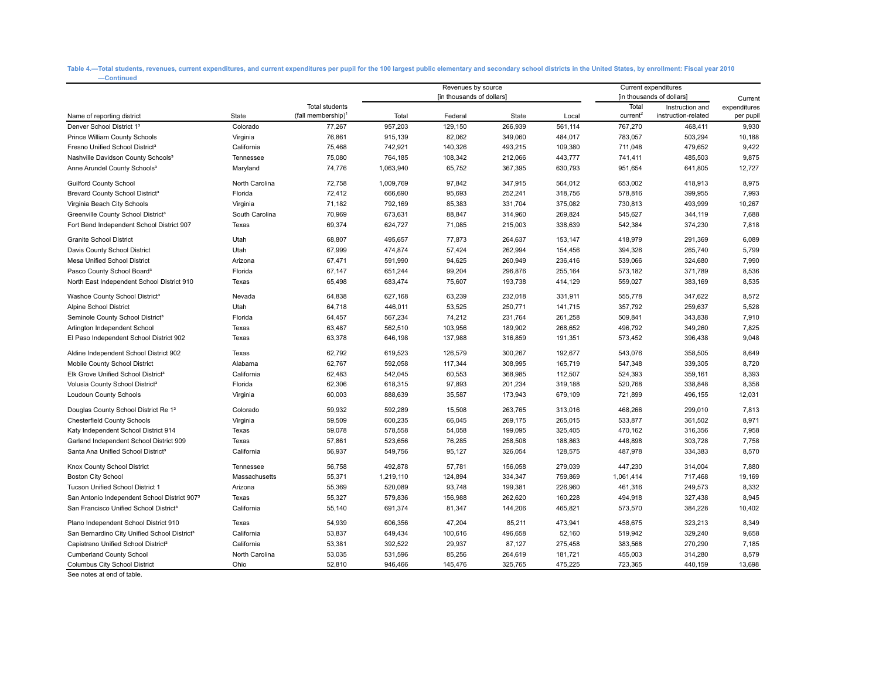**Table 4.—Total students, revenues, current expenditures, and current expenditures per pupil for the 100 largest public elementary and secondary school districts in the United States, by enrollment: Fiscal year 2010 Table 4.——Continued**

|                                                          |                |                                | Revenues by source                                     |         |         | Current expenditures |                      |                     |              |
|----------------------------------------------------------|----------------|--------------------------------|--------------------------------------------------------|---------|---------|----------------------|----------------------|---------------------|--------------|
|                                                          |                |                                | [in thousands of dollars]<br>[in thousands of dollars] |         |         | Current              |                      |                     |              |
|                                                          |                | Total students                 |                                                        |         |         |                      | Total                | Instruction and     | expenditures |
| Name of reporting district                               | State          | (fall membership) <sup>1</sup> | Total                                                  | Federal | State   | Local                | current <sup>2</sup> | instruction-related | per pupil    |
| Denver School District 1 <sup>3</sup>                    | Colorado       | 77,267                         | 957,203                                                | 129,150 | 266,939 | 561,114              | 767,270              | 468,411             | 9,930        |
| Prince William County Schools                            | Virginia       | 76,861                         | 915,139                                                | 82,062  | 349,060 | 484,017              | 783,057              | 503,294             | 10,188       |
| Fresno Unified School District <sup>3</sup>              | California     | 75,468                         | 742,921                                                | 140,326 | 493,215 | 109,380              | 711,048              | 479,652             | 9,422        |
| Nashville Davidson County Schools <sup>3</sup>           | Tennessee      | 75,080                         | 764,185                                                | 108,342 | 212,066 | 443,777              | 741,411              | 485,503             | 9,875        |
| Anne Arundel County Schools <sup>3</sup>                 | Maryland       | 74,776                         | 1,063,940                                              | 65,752  | 367,395 | 630,793              | 951,654              | 641,805             | 12,727       |
| <b>Guilford County School</b>                            | North Carolina | 72,758                         | 1,009,769                                              | 97,842  | 347,915 | 564,012              | 653,002              | 418,913             | 8,975        |
| Brevard County School District <sup>3</sup>              | Florida        | 72,412                         | 666,690                                                | 95,693  | 252,241 | 318,756              | 578,816              | 399,955             | 7,993        |
| Virginia Beach City Schools                              | Virginia       | 71,182                         | 792,169                                                | 85,383  | 331,704 | 375,082              | 730,813              | 493,999             | 10,267       |
| Greenville County School District <sup>3</sup>           | South Carolina | 70,969                         | 673,631                                                | 88,847  | 314,960 | 269,824              | 545,627              | 344,119             | 7,688        |
| Fort Bend Independent School District 907                | Texas          | 69,374                         | 624,727                                                | 71,085  | 215,003 | 338,639              | 542,384              | 374,230             | 7,818        |
| <b>Granite School District</b>                           | Utah           | 68,807                         | 495,657                                                | 77,873  | 264,637 | 153,147              | 418,979              | 291,369             | 6,089        |
| Davis County School District                             | Utah           | 67,999                         | 474,874                                                | 57,424  | 262,994 | 154,456              | 394,326              | 265,740             | 5,799        |
| Mesa Unified School District                             | Arizona        | 67,471                         | 591,990                                                | 94,625  | 260,949 | 236,416              | 539,066              | 324,680             | 7,990        |
| Pasco County School Board <sup>3</sup>                   | Florida        | 67,147                         | 651,244                                                | 99,204  | 296,876 | 255,164              | 573,182              | 371,789             | 8,536        |
| North East Independent School District 910               | Texas          | 65,498                         | 683,474                                                | 75,607  | 193,738 | 414,129              | 559,027              | 383,169             | 8,535        |
| Washoe County School District <sup>3</sup>               | Nevada         | 64,838                         | 627,168                                                | 63,239  | 232,018 | 331,911              | 555,778              | 347,622             | 8,572        |
| Alpine School District                                   | Utah           | 64,718                         | 446,011                                                | 53,525  | 250,771 | 141,715              | 357,792              | 259,637             | 5,528        |
| Seminole County School District <sup>3</sup>             | Florida        | 64,457                         | 567,234                                                | 74,212  | 231,764 | 261,258              | 509,841              | 343,838             | 7,910        |
| Arlington Independent School                             | Texas          | 63,487                         | 562,510                                                | 103,956 | 189,902 | 268,652              | 496,792              | 349,260             | 7,825        |
| El Paso Independent School District 902                  | Texas          | 63,378                         | 646,198                                                | 137,988 | 316,859 | 191,351              | 573,452              | 396,438             | 9,048        |
| Aldine Independent School District 902                   | Texas          | 62,792                         | 619,523                                                | 126,579 | 300,267 | 192,677              | 543,076              | 358,505             | 8,649        |
| Mobile County School District                            | Alabama        | 62,767                         | 592,058                                                | 117,344 | 308,995 | 165,719              | 547,348              | 339,305             | 8,720        |
| Elk Grove Unified School District <sup>3</sup>           | California     | 62,483                         | 542,045                                                | 60,553  | 368,985 | 112,507              | 524,393              | 359,161             | 8,393        |
| Volusia County School District <sup>3</sup>              | Florida        | 62,306                         | 618,315                                                | 97,893  | 201,234 | 319,188              | 520,768              | 338,848             | 8,358        |
| Loudoun County Schools                                   | Virginia       | 60,003                         | 888,639                                                | 35,587  | 173,943 | 679,109              | 721,899              | 496,155             | 12,031       |
| Douglas County School District Re 1 <sup>3</sup>         | Colorado       | 59,932                         | 592,289                                                | 15,508  | 263,765 | 313,016              | 468,266              | 299,010             | 7,813        |
| Chesterfield County Schools                              | Virginia       | 59,509                         | 600,235                                                | 66,045  | 269,175 | 265,015              | 533,877              | 361,502             | 8,971        |
| Katy Independent School District 914                     | Texas          | 59,078                         | 578,558                                                | 54,058  | 199,095 | 325,405              | 470,162              | 316,356             | 7,958        |
| Garland Independent School District 909                  | Texas          | 57,861                         | 523,656                                                | 76,285  | 258,508 | 188,863              | 448,898              | 303,728             | 7,758        |
| Santa Ana Unified School District <sup>3</sup>           | California     | 56,937                         | 549,756                                                | 95,127  | 326,054 | 128,575              | 487,978              | 334,383             | 8,570        |
| Knox County School District                              | Tennessee      | 56,758                         | 492,878                                                | 57,781  | 156,058 | 279,039              | 447,230              | 314,004             | 7,880        |
| <b>Boston City School</b>                                | Massachusetts  | 55,371                         | 1,219,110                                              | 124,894 | 334,347 | 759,869              | 1,061,414            | 717,468             | 19,169       |
| Tucson Unified School District 1                         | Arizona        | 55,369                         | 520,089                                                | 93,748  | 199,381 | 226,960              | 461,316              | 249,573             | 8,332        |
| San Antonio Independent School District 907 <sup>3</sup> | Texas          | 55,327                         | 579,836                                                | 156,988 | 262,620 | 160,228              | 494,918              | 327,438             | 8,945        |
| San Francisco Unified School District <sup>3</sup>       | California     | 55,140                         | 691,374                                                | 81,347  | 144,206 | 465,821              | 573,570              | 384,228             | 10,402       |
| Plano Independent School District 910                    | Texas          | 54,939                         | 606,356                                                | 47,204  | 85,211  | 473,941              | 458,675              | 323,213             | 8,349        |
| San Bernardino City Unified School District <sup>3</sup> | California     | 53,837                         | 649,434                                                | 100,616 | 496,658 | 52,160               | 519,942              | 329,240             | 9,658        |
| Capistrano Unified School District <sup>3</sup>          | California     | 53,381                         | 392,522                                                | 29,937  | 87,127  | 275,458              | 383,568              | 270,290             | 7,185        |
| <b>Cumberland County School</b>                          | North Carolina | 53,035                         | 531,596                                                | 85,256  | 264,619 | 181,721              | 455,003              | 314,280             | 8,579        |
| Columbus City School District                            | Ohio           | 52,810                         | 946,466                                                | 145,476 | 325,765 | 475,225              | 723,365              | 440,159             | 13,698       |

See notes at end of table.